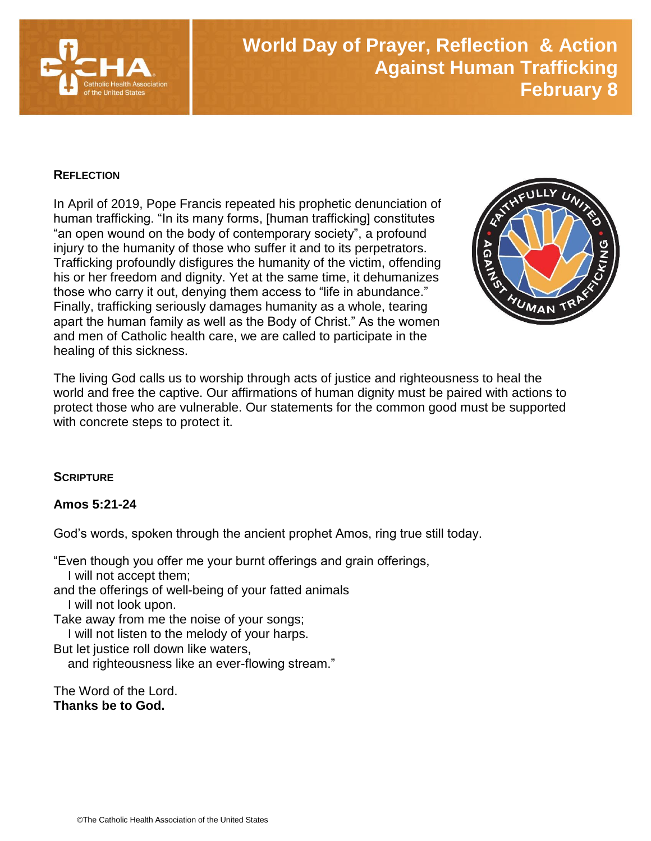

# **World Day of Prayer, Reflection & Action Against Human Trafficking February 8**

### **REFLECTION**

In April of 2019, Pope Francis repeated his prophetic denunciation of human trafficking. "In its many forms, [human trafficking] constitutes "an open wound on the body of contemporary society", a profound injury to the humanity of those who suffer it and to its perpetrators. Trafficking profoundly disfigures the humanity of the victim, offending his or her freedom and dignity. Yet at the same time, it dehumanizes those who carry it out, denying them access to "life in abundance." Finally, trafficking seriously damages humanity as a whole, tearing apart the human family as well as the Body of Christ." As the women and men of Catholic health care, we are called to participate in the healing of this sickness.



The living God calls us to worship through acts of justice and righteousness to heal the world and free the captive. Our affirmations of human dignity must be paired with actions to protect those who are vulnerable. Our statements for the common good must be supported with concrete steps to protect it.

### **SCRIPTURE**

### **Amos 5:21-24**

God's words, spoken through the ancient prophet Amos, ring true still today.

"Even though you offer me your burnt offerings and grain offerings, I will not accept them; and the offerings of well-being of your fatted animals I will not look upon. Take away from me the noise of your songs; I will not listen to the melody of your harps. But let justice roll down like waters, and righteousness like an ever-flowing stream." The Word of the Lord.

**Thanks be to God.**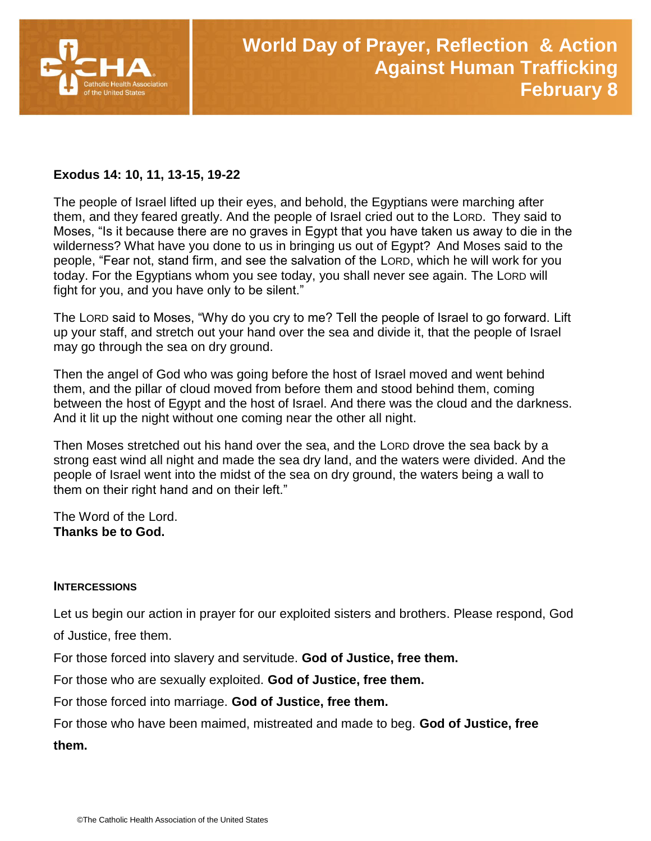

## **Exodus 14: 10, 11, 13-15, 19-22**

The people of Israel lifted up their eyes, and behold, the Egyptians were marching after them, and they feared greatly. And the people of Israel cried out to the LORD. They said to Moses, "Is it because there are no graves in Egypt that you have taken us away to die in the wilderness? What have you done to us in bringing us out of Egypt? And Moses said to the people, "Fear not, stand firm, and see the salvation of the LORD, which he will work for you today. For the Egyptians whom you see today, you shall never see again. The LORD will fight for you, and you have only to be silent."

The LORD said to Moses, "Why do you cry to me? Tell the people of Israel to go forward. Lift up your staff, and stretch out your hand over the sea and divide it, that the people of Israel may go through the sea on dry ground.

Then the angel of God who was going before the host of Israel moved and went behind them, and the pillar of cloud moved from before them and stood behind them, coming between the host of Egypt and the host of Israel. And there was the cloud and the darkness. And it lit up the night without one coming near the other all night.

Then Moses stretched out his hand over the sea, and the LORD drove the sea back by a strong east wind all night and made the sea dry land, and the waters were divided. And the people of Israel went into the midst of the sea on dry ground, the waters being a wall to them on their right hand and on their left."

The Word of the Lord. **Thanks be to God.**

### **INTERCESSIONS**

Let us begin our action in prayer for our exploited sisters and brothers. Please respond, God of Justice, free them.

For those forced into slavery and servitude. **God of Justice, free them.**

For those who are sexually exploited. **God of Justice, free them.**

For those forced into marriage. **God of Justice, free them.**

For those who have been maimed, mistreated and made to beg. **God of Justice, free** 

**them.**